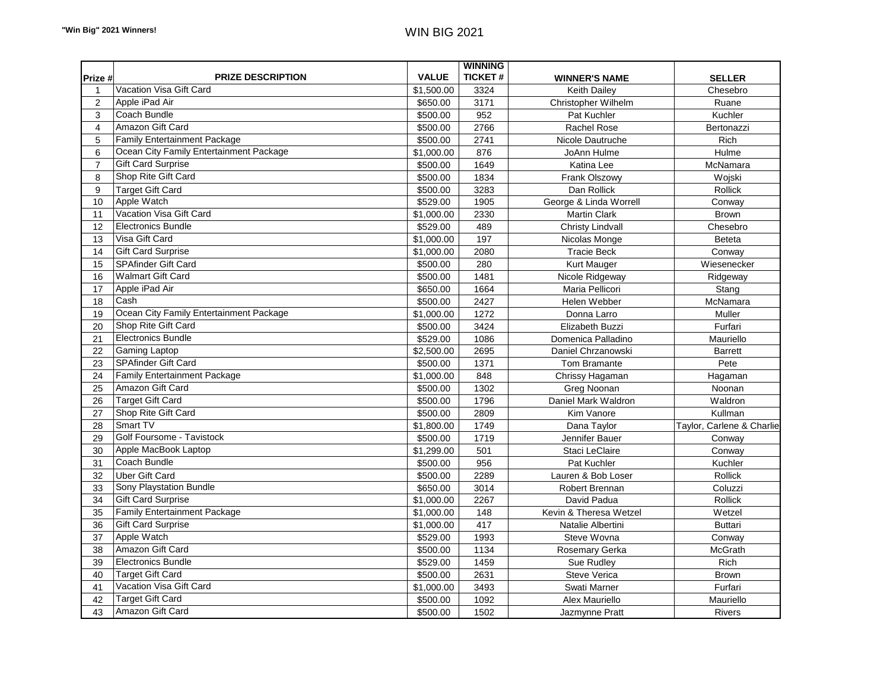| <b>VALUE</b><br><b>TICKET#</b><br>Prize #<br><b>PRIZE DESCRIPTION</b><br><b>WINNER'S NAME</b><br><b>SELLER</b><br>Vacation Visa Gift Card<br>\$1,500.00<br>3324<br><b>Keith Dailey</b><br>Chesebro<br>$\mathbf{1}$<br>$\overline{2}$<br>Apple iPad Air<br>\$650.00<br>3171<br>Christopher Wilhelm<br>Ruane<br>Coach Bundle<br>3<br>\$500.00<br>952<br>Kuchler<br>Pat Kuchler<br>Amazon Gift Card<br>2766<br>Rachel Rose<br>$\overline{4}$<br>\$500.00<br>Bertonazzi<br><b>Family Entertainment Package</b><br>5<br>2741<br>Rich<br>\$500.00<br>Nicole Dautruche<br>Ocean City Family Entertainment Package<br>876<br>Hulme<br>6<br>\$1,000.00<br>JoAnn Hulme<br><b>Gift Card Surprise</b><br>$\overline{7}$<br>\$500.00<br>1649<br>McNamara<br>Katina Lee<br>Shop Rite Gift Card<br>8<br>1834<br>\$500.00<br>Frank Olszowy<br>Wojski<br>3283<br>9<br><b>Target Gift Card</b><br>\$500.00<br>Dan Rollick<br><b>Rollick</b><br>Apple Watch<br>10<br>\$529.00<br>1905<br>George & Linda Worrell<br>Conway<br>Vacation Visa Gift Card<br>2330<br>\$1,000.00<br><b>Martin Clark</b><br><b>Brown</b><br>11<br><b>Electronics Bundle</b><br>12<br>\$529.00<br>489<br><b>Christy Lindvall</b><br>Chesebro<br>Visa Gift Card<br>13<br>\$1,000.00<br>197<br>Nicolas Monge<br><b>Beteta</b><br><b>Gift Card Surprise</b><br>14<br>\$1,000.00<br>2080<br><b>Tracie Beck</b><br>Conway<br>SPAfinder Gift Card<br>280<br>Kurt Mauger<br>Wiesenecker<br>15<br>\$500.00<br><b>Walmart Gift Card</b><br>\$500.00<br>1481<br>16<br>Nicole Ridgeway<br>Ridgeway<br>Apple iPad Air<br>17<br>\$650.00<br>1664<br>Maria Pellicori<br>Stang<br>Cash<br>18<br>2427<br>McNamara<br>\$500.00<br>Helen Webber<br>Ocean City Family Entertainment Package<br>1272<br>19<br>\$1,000.00<br>Donna Larro<br>Muller<br>Shop Rite Gift Card<br>Furfari<br>20<br>\$500.00<br>3424<br>Elizabeth Buzzi<br><b>Electronics Bundle</b><br>21<br>\$529.00<br>1086<br>Domenica Palladino<br>Mauriello<br>2695<br>22<br><b>Gaming Laptop</b><br>\$2,500.00<br>Daniel Chrzanowski<br><b>Barrett</b><br><b>SPAfinder Gift Card</b><br>\$500.00<br>1371<br>Pete<br>23<br><b>Tom Bramante</b><br><b>Family Entertainment Package</b><br>24<br>\$1,000.00<br>848<br>Chrissy Hagaman<br>Hagaman<br>Amazon Gift Card<br>\$500.00<br>1302<br>Greg Noonan<br>Noonan<br>25<br><b>Target Gift Card</b><br>\$500.00<br>1796<br>Daniel Mark Waldron<br>Waldron<br>26<br>Shop Rite Gift Card<br>2809<br>Kim Vanore<br>Kullman<br>27<br>\$500.00<br>Smart TV<br>1749<br>28<br>\$1,800.00<br>Dana Taylor<br>Golf Foursome - Tavistock<br>29<br>\$500.00<br>1719<br>Jennifer Bauer<br>Conway<br>Apple MacBook Laptop<br>30<br>501<br>\$1,299.00<br>Staci LeClaire<br>Conway<br>Coach Bundle<br>956<br>Pat Kuchler<br>31<br>\$500.00<br>Kuchler<br>2289<br>Rollick<br>32<br><b>Uber Gift Card</b><br>\$500.00<br>Lauren & Bob Loser<br><b>Sony Playstation Bundle</b><br>3014<br>Robert Brennan<br>33<br>\$650.00<br>Coluzzi<br><b>Gift Card Surprise</b><br>2267<br>Rollick<br>34<br>\$1,000.00<br>David Padua<br><b>Family Entertainment Package</b><br>35<br>\$1,000.00<br>148<br>Kevin & Theresa Wetzel<br>Wetzel<br><b>Gift Card Surprise</b><br>36<br>417<br><b>Buttari</b><br>\$1,000.00<br>Natalie Albertini<br>Apple Watch<br>37<br>\$529.00<br>1993<br>Steve Wovna<br>Conway<br>Amazon Gift Card<br>38<br>\$500.00<br>1134<br>Rosemary Gerka<br>McGrath<br><b>Electronics Bundle</b><br>1459<br>Rich<br>39<br>\$529.00<br>Sue Rudley<br><b>Target Gift Card</b><br>2631<br>Steve Verica<br>40<br>\$500.00<br><b>Brown</b><br>Vacation Visa Gift Card<br>3493<br>41<br>Swati Marner<br>Furfari<br>\$1,000.00<br><b>Target Gift Card</b><br>42<br>\$500.00<br>1092<br>Mauriello<br>Alex Mauriello<br>Amazon Gift Card<br>43<br>\$500.00<br>1502<br>Rivers<br>Jazmynne Pratt |  | <b>WINNING</b> |  |
|------------------------------------------------------------------------------------------------------------------------------------------------------------------------------------------------------------------------------------------------------------------------------------------------------------------------------------------------------------------------------------------------------------------------------------------------------------------------------------------------------------------------------------------------------------------------------------------------------------------------------------------------------------------------------------------------------------------------------------------------------------------------------------------------------------------------------------------------------------------------------------------------------------------------------------------------------------------------------------------------------------------------------------------------------------------------------------------------------------------------------------------------------------------------------------------------------------------------------------------------------------------------------------------------------------------------------------------------------------------------------------------------------------------------------------------------------------------------------------------------------------------------------------------------------------------------------------------------------------------------------------------------------------------------------------------------------------------------------------------------------------------------------------------------------------------------------------------------------------------------------------------------------------------------------------------------------------------------------------------------------------------------------------------------------------------------------------------------------------------------------------------------------------------------------------------------------------------------------------------------------------------------------------------------------------------------------------------------------------------------------------------------------------------------------------------------------------------------------------------------------------------------------------------------------------------------------------------------------------------------------------------------------------------------------------------------------------------------------------------------------------------------------------------------------------------------------------------------------------------------------------------------------------------------------------------------------------------------------------------------------------------------------------------------------------------------------------------------------------------------------------------------------------------------------------------------------------------------------------------------------------------------------------------------------------------------------------------------------------------------------------------------------------------------------------------------------------------------------------------------------------------------------------------------------------------------------------------------------------------------------------------------------------------------------------------------------------------------------------------------------------------------------------------------------------------------|--|----------------|--|
| Taylor, Carlene & Charlie                                                                                                                                                                                                                                                                                                                                                                                                                                                                                                                                                                                                                                                                                                                                                                                                                                                                                                                                                                                                                                                                                                                                                                                                                                                                                                                                                                                                                                                                                                                                                                                                                                                                                                                                                                                                                                                                                                                                                                                                                                                                                                                                                                                                                                                                                                                                                                                                                                                                                                                                                                                                                                                                                                                                                                                                                                                                                                                                                                                                                                                                                                                                                                                                                                                                                                                                                                                                                                                                                                                                                                                                                                                                                                                                                                                              |  |                |  |
|                                                                                                                                                                                                                                                                                                                                                                                                                                                                                                                                                                                                                                                                                                                                                                                                                                                                                                                                                                                                                                                                                                                                                                                                                                                                                                                                                                                                                                                                                                                                                                                                                                                                                                                                                                                                                                                                                                                                                                                                                                                                                                                                                                                                                                                                                                                                                                                                                                                                                                                                                                                                                                                                                                                                                                                                                                                                                                                                                                                                                                                                                                                                                                                                                                                                                                                                                                                                                                                                                                                                                                                                                                                                                                                                                                                                                        |  |                |  |
|                                                                                                                                                                                                                                                                                                                                                                                                                                                                                                                                                                                                                                                                                                                                                                                                                                                                                                                                                                                                                                                                                                                                                                                                                                                                                                                                                                                                                                                                                                                                                                                                                                                                                                                                                                                                                                                                                                                                                                                                                                                                                                                                                                                                                                                                                                                                                                                                                                                                                                                                                                                                                                                                                                                                                                                                                                                                                                                                                                                                                                                                                                                                                                                                                                                                                                                                                                                                                                                                                                                                                                                                                                                                                                                                                                                                                        |  |                |  |
|                                                                                                                                                                                                                                                                                                                                                                                                                                                                                                                                                                                                                                                                                                                                                                                                                                                                                                                                                                                                                                                                                                                                                                                                                                                                                                                                                                                                                                                                                                                                                                                                                                                                                                                                                                                                                                                                                                                                                                                                                                                                                                                                                                                                                                                                                                                                                                                                                                                                                                                                                                                                                                                                                                                                                                                                                                                                                                                                                                                                                                                                                                                                                                                                                                                                                                                                                                                                                                                                                                                                                                                                                                                                                                                                                                                                                        |  |                |  |
|                                                                                                                                                                                                                                                                                                                                                                                                                                                                                                                                                                                                                                                                                                                                                                                                                                                                                                                                                                                                                                                                                                                                                                                                                                                                                                                                                                                                                                                                                                                                                                                                                                                                                                                                                                                                                                                                                                                                                                                                                                                                                                                                                                                                                                                                                                                                                                                                                                                                                                                                                                                                                                                                                                                                                                                                                                                                                                                                                                                                                                                                                                                                                                                                                                                                                                                                                                                                                                                                                                                                                                                                                                                                                                                                                                                                                        |  |                |  |
|                                                                                                                                                                                                                                                                                                                                                                                                                                                                                                                                                                                                                                                                                                                                                                                                                                                                                                                                                                                                                                                                                                                                                                                                                                                                                                                                                                                                                                                                                                                                                                                                                                                                                                                                                                                                                                                                                                                                                                                                                                                                                                                                                                                                                                                                                                                                                                                                                                                                                                                                                                                                                                                                                                                                                                                                                                                                                                                                                                                                                                                                                                                                                                                                                                                                                                                                                                                                                                                                                                                                                                                                                                                                                                                                                                                                                        |  |                |  |
|                                                                                                                                                                                                                                                                                                                                                                                                                                                                                                                                                                                                                                                                                                                                                                                                                                                                                                                                                                                                                                                                                                                                                                                                                                                                                                                                                                                                                                                                                                                                                                                                                                                                                                                                                                                                                                                                                                                                                                                                                                                                                                                                                                                                                                                                                                                                                                                                                                                                                                                                                                                                                                                                                                                                                                                                                                                                                                                                                                                                                                                                                                                                                                                                                                                                                                                                                                                                                                                                                                                                                                                                                                                                                                                                                                                                                        |  |                |  |
|                                                                                                                                                                                                                                                                                                                                                                                                                                                                                                                                                                                                                                                                                                                                                                                                                                                                                                                                                                                                                                                                                                                                                                                                                                                                                                                                                                                                                                                                                                                                                                                                                                                                                                                                                                                                                                                                                                                                                                                                                                                                                                                                                                                                                                                                                                                                                                                                                                                                                                                                                                                                                                                                                                                                                                                                                                                                                                                                                                                                                                                                                                                                                                                                                                                                                                                                                                                                                                                                                                                                                                                                                                                                                                                                                                                                                        |  |                |  |
|                                                                                                                                                                                                                                                                                                                                                                                                                                                                                                                                                                                                                                                                                                                                                                                                                                                                                                                                                                                                                                                                                                                                                                                                                                                                                                                                                                                                                                                                                                                                                                                                                                                                                                                                                                                                                                                                                                                                                                                                                                                                                                                                                                                                                                                                                                                                                                                                                                                                                                                                                                                                                                                                                                                                                                                                                                                                                                                                                                                                                                                                                                                                                                                                                                                                                                                                                                                                                                                                                                                                                                                                                                                                                                                                                                                                                        |  |                |  |
|                                                                                                                                                                                                                                                                                                                                                                                                                                                                                                                                                                                                                                                                                                                                                                                                                                                                                                                                                                                                                                                                                                                                                                                                                                                                                                                                                                                                                                                                                                                                                                                                                                                                                                                                                                                                                                                                                                                                                                                                                                                                                                                                                                                                                                                                                                                                                                                                                                                                                                                                                                                                                                                                                                                                                                                                                                                                                                                                                                                                                                                                                                                                                                                                                                                                                                                                                                                                                                                                                                                                                                                                                                                                                                                                                                                                                        |  |                |  |
|                                                                                                                                                                                                                                                                                                                                                                                                                                                                                                                                                                                                                                                                                                                                                                                                                                                                                                                                                                                                                                                                                                                                                                                                                                                                                                                                                                                                                                                                                                                                                                                                                                                                                                                                                                                                                                                                                                                                                                                                                                                                                                                                                                                                                                                                                                                                                                                                                                                                                                                                                                                                                                                                                                                                                                                                                                                                                                                                                                                                                                                                                                                                                                                                                                                                                                                                                                                                                                                                                                                                                                                                                                                                                                                                                                                                                        |  |                |  |
|                                                                                                                                                                                                                                                                                                                                                                                                                                                                                                                                                                                                                                                                                                                                                                                                                                                                                                                                                                                                                                                                                                                                                                                                                                                                                                                                                                                                                                                                                                                                                                                                                                                                                                                                                                                                                                                                                                                                                                                                                                                                                                                                                                                                                                                                                                                                                                                                                                                                                                                                                                                                                                                                                                                                                                                                                                                                                                                                                                                                                                                                                                                                                                                                                                                                                                                                                                                                                                                                                                                                                                                                                                                                                                                                                                                                                        |  |                |  |
|                                                                                                                                                                                                                                                                                                                                                                                                                                                                                                                                                                                                                                                                                                                                                                                                                                                                                                                                                                                                                                                                                                                                                                                                                                                                                                                                                                                                                                                                                                                                                                                                                                                                                                                                                                                                                                                                                                                                                                                                                                                                                                                                                                                                                                                                                                                                                                                                                                                                                                                                                                                                                                                                                                                                                                                                                                                                                                                                                                                                                                                                                                                                                                                                                                                                                                                                                                                                                                                                                                                                                                                                                                                                                                                                                                                                                        |  |                |  |
|                                                                                                                                                                                                                                                                                                                                                                                                                                                                                                                                                                                                                                                                                                                                                                                                                                                                                                                                                                                                                                                                                                                                                                                                                                                                                                                                                                                                                                                                                                                                                                                                                                                                                                                                                                                                                                                                                                                                                                                                                                                                                                                                                                                                                                                                                                                                                                                                                                                                                                                                                                                                                                                                                                                                                                                                                                                                                                                                                                                                                                                                                                                                                                                                                                                                                                                                                                                                                                                                                                                                                                                                                                                                                                                                                                                                                        |  |                |  |
|                                                                                                                                                                                                                                                                                                                                                                                                                                                                                                                                                                                                                                                                                                                                                                                                                                                                                                                                                                                                                                                                                                                                                                                                                                                                                                                                                                                                                                                                                                                                                                                                                                                                                                                                                                                                                                                                                                                                                                                                                                                                                                                                                                                                                                                                                                                                                                                                                                                                                                                                                                                                                                                                                                                                                                                                                                                                                                                                                                                                                                                                                                                                                                                                                                                                                                                                                                                                                                                                                                                                                                                                                                                                                                                                                                                                                        |  |                |  |
|                                                                                                                                                                                                                                                                                                                                                                                                                                                                                                                                                                                                                                                                                                                                                                                                                                                                                                                                                                                                                                                                                                                                                                                                                                                                                                                                                                                                                                                                                                                                                                                                                                                                                                                                                                                                                                                                                                                                                                                                                                                                                                                                                                                                                                                                                                                                                                                                                                                                                                                                                                                                                                                                                                                                                                                                                                                                                                                                                                                                                                                                                                                                                                                                                                                                                                                                                                                                                                                                                                                                                                                                                                                                                                                                                                                                                        |  |                |  |
|                                                                                                                                                                                                                                                                                                                                                                                                                                                                                                                                                                                                                                                                                                                                                                                                                                                                                                                                                                                                                                                                                                                                                                                                                                                                                                                                                                                                                                                                                                                                                                                                                                                                                                                                                                                                                                                                                                                                                                                                                                                                                                                                                                                                                                                                                                                                                                                                                                                                                                                                                                                                                                                                                                                                                                                                                                                                                                                                                                                                                                                                                                                                                                                                                                                                                                                                                                                                                                                                                                                                                                                                                                                                                                                                                                                                                        |  |                |  |
|                                                                                                                                                                                                                                                                                                                                                                                                                                                                                                                                                                                                                                                                                                                                                                                                                                                                                                                                                                                                                                                                                                                                                                                                                                                                                                                                                                                                                                                                                                                                                                                                                                                                                                                                                                                                                                                                                                                                                                                                                                                                                                                                                                                                                                                                                                                                                                                                                                                                                                                                                                                                                                                                                                                                                                                                                                                                                                                                                                                                                                                                                                                                                                                                                                                                                                                                                                                                                                                                                                                                                                                                                                                                                                                                                                                                                        |  |                |  |
|                                                                                                                                                                                                                                                                                                                                                                                                                                                                                                                                                                                                                                                                                                                                                                                                                                                                                                                                                                                                                                                                                                                                                                                                                                                                                                                                                                                                                                                                                                                                                                                                                                                                                                                                                                                                                                                                                                                                                                                                                                                                                                                                                                                                                                                                                                                                                                                                                                                                                                                                                                                                                                                                                                                                                                                                                                                                                                                                                                                                                                                                                                                                                                                                                                                                                                                                                                                                                                                                                                                                                                                                                                                                                                                                                                                                                        |  |                |  |
|                                                                                                                                                                                                                                                                                                                                                                                                                                                                                                                                                                                                                                                                                                                                                                                                                                                                                                                                                                                                                                                                                                                                                                                                                                                                                                                                                                                                                                                                                                                                                                                                                                                                                                                                                                                                                                                                                                                                                                                                                                                                                                                                                                                                                                                                                                                                                                                                                                                                                                                                                                                                                                                                                                                                                                                                                                                                                                                                                                                                                                                                                                                                                                                                                                                                                                                                                                                                                                                                                                                                                                                                                                                                                                                                                                                                                        |  |                |  |
|                                                                                                                                                                                                                                                                                                                                                                                                                                                                                                                                                                                                                                                                                                                                                                                                                                                                                                                                                                                                                                                                                                                                                                                                                                                                                                                                                                                                                                                                                                                                                                                                                                                                                                                                                                                                                                                                                                                                                                                                                                                                                                                                                                                                                                                                                                                                                                                                                                                                                                                                                                                                                                                                                                                                                                                                                                                                                                                                                                                                                                                                                                                                                                                                                                                                                                                                                                                                                                                                                                                                                                                                                                                                                                                                                                                                                        |  |                |  |
|                                                                                                                                                                                                                                                                                                                                                                                                                                                                                                                                                                                                                                                                                                                                                                                                                                                                                                                                                                                                                                                                                                                                                                                                                                                                                                                                                                                                                                                                                                                                                                                                                                                                                                                                                                                                                                                                                                                                                                                                                                                                                                                                                                                                                                                                                                                                                                                                                                                                                                                                                                                                                                                                                                                                                                                                                                                                                                                                                                                                                                                                                                                                                                                                                                                                                                                                                                                                                                                                                                                                                                                                                                                                                                                                                                                                                        |  |                |  |
|                                                                                                                                                                                                                                                                                                                                                                                                                                                                                                                                                                                                                                                                                                                                                                                                                                                                                                                                                                                                                                                                                                                                                                                                                                                                                                                                                                                                                                                                                                                                                                                                                                                                                                                                                                                                                                                                                                                                                                                                                                                                                                                                                                                                                                                                                                                                                                                                                                                                                                                                                                                                                                                                                                                                                                                                                                                                                                                                                                                                                                                                                                                                                                                                                                                                                                                                                                                                                                                                                                                                                                                                                                                                                                                                                                                                                        |  |                |  |
|                                                                                                                                                                                                                                                                                                                                                                                                                                                                                                                                                                                                                                                                                                                                                                                                                                                                                                                                                                                                                                                                                                                                                                                                                                                                                                                                                                                                                                                                                                                                                                                                                                                                                                                                                                                                                                                                                                                                                                                                                                                                                                                                                                                                                                                                                                                                                                                                                                                                                                                                                                                                                                                                                                                                                                                                                                                                                                                                                                                                                                                                                                                                                                                                                                                                                                                                                                                                                                                                                                                                                                                                                                                                                                                                                                                                                        |  |                |  |
|                                                                                                                                                                                                                                                                                                                                                                                                                                                                                                                                                                                                                                                                                                                                                                                                                                                                                                                                                                                                                                                                                                                                                                                                                                                                                                                                                                                                                                                                                                                                                                                                                                                                                                                                                                                                                                                                                                                                                                                                                                                                                                                                                                                                                                                                                                                                                                                                                                                                                                                                                                                                                                                                                                                                                                                                                                                                                                                                                                                                                                                                                                                                                                                                                                                                                                                                                                                                                                                                                                                                                                                                                                                                                                                                                                                                                        |  |                |  |
|                                                                                                                                                                                                                                                                                                                                                                                                                                                                                                                                                                                                                                                                                                                                                                                                                                                                                                                                                                                                                                                                                                                                                                                                                                                                                                                                                                                                                                                                                                                                                                                                                                                                                                                                                                                                                                                                                                                                                                                                                                                                                                                                                                                                                                                                                                                                                                                                                                                                                                                                                                                                                                                                                                                                                                                                                                                                                                                                                                                                                                                                                                                                                                                                                                                                                                                                                                                                                                                                                                                                                                                                                                                                                                                                                                                                                        |  |                |  |
|                                                                                                                                                                                                                                                                                                                                                                                                                                                                                                                                                                                                                                                                                                                                                                                                                                                                                                                                                                                                                                                                                                                                                                                                                                                                                                                                                                                                                                                                                                                                                                                                                                                                                                                                                                                                                                                                                                                                                                                                                                                                                                                                                                                                                                                                                                                                                                                                                                                                                                                                                                                                                                                                                                                                                                                                                                                                                                                                                                                                                                                                                                                                                                                                                                                                                                                                                                                                                                                                                                                                                                                                                                                                                                                                                                                                                        |  |                |  |
|                                                                                                                                                                                                                                                                                                                                                                                                                                                                                                                                                                                                                                                                                                                                                                                                                                                                                                                                                                                                                                                                                                                                                                                                                                                                                                                                                                                                                                                                                                                                                                                                                                                                                                                                                                                                                                                                                                                                                                                                                                                                                                                                                                                                                                                                                                                                                                                                                                                                                                                                                                                                                                                                                                                                                                                                                                                                                                                                                                                                                                                                                                                                                                                                                                                                                                                                                                                                                                                                                                                                                                                                                                                                                                                                                                                                                        |  |                |  |
|                                                                                                                                                                                                                                                                                                                                                                                                                                                                                                                                                                                                                                                                                                                                                                                                                                                                                                                                                                                                                                                                                                                                                                                                                                                                                                                                                                                                                                                                                                                                                                                                                                                                                                                                                                                                                                                                                                                                                                                                                                                                                                                                                                                                                                                                                                                                                                                                                                                                                                                                                                                                                                                                                                                                                                                                                                                                                                                                                                                                                                                                                                                                                                                                                                                                                                                                                                                                                                                                                                                                                                                                                                                                                                                                                                                                                        |  |                |  |
|                                                                                                                                                                                                                                                                                                                                                                                                                                                                                                                                                                                                                                                                                                                                                                                                                                                                                                                                                                                                                                                                                                                                                                                                                                                                                                                                                                                                                                                                                                                                                                                                                                                                                                                                                                                                                                                                                                                                                                                                                                                                                                                                                                                                                                                                                                                                                                                                                                                                                                                                                                                                                                                                                                                                                                                                                                                                                                                                                                                                                                                                                                                                                                                                                                                                                                                                                                                                                                                                                                                                                                                                                                                                                                                                                                                                                        |  |                |  |
|                                                                                                                                                                                                                                                                                                                                                                                                                                                                                                                                                                                                                                                                                                                                                                                                                                                                                                                                                                                                                                                                                                                                                                                                                                                                                                                                                                                                                                                                                                                                                                                                                                                                                                                                                                                                                                                                                                                                                                                                                                                                                                                                                                                                                                                                                                                                                                                                                                                                                                                                                                                                                                                                                                                                                                                                                                                                                                                                                                                                                                                                                                                                                                                                                                                                                                                                                                                                                                                                                                                                                                                                                                                                                                                                                                                                                        |  |                |  |
|                                                                                                                                                                                                                                                                                                                                                                                                                                                                                                                                                                                                                                                                                                                                                                                                                                                                                                                                                                                                                                                                                                                                                                                                                                                                                                                                                                                                                                                                                                                                                                                                                                                                                                                                                                                                                                                                                                                                                                                                                                                                                                                                                                                                                                                                                                                                                                                                                                                                                                                                                                                                                                                                                                                                                                                                                                                                                                                                                                                                                                                                                                                                                                                                                                                                                                                                                                                                                                                                                                                                                                                                                                                                                                                                                                                                                        |  |                |  |
|                                                                                                                                                                                                                                                                                                                                                                                                                                                                                                                                                                                                                                                                                                                                                                                                                                                                                                                                                                                                                                                                                                                                                                                                                                                                                                                                                                                                                                                                                                                                                                                                                                                                                                                                                                                                                                                                                                                                                                                                                                                                                                                                                                                                                                                                                                                                                                                                                                                                                                                                                                                                                                                                                                                                                                                                                                                                                                                                                                                                                                                                                                                                                                                                                                                                                                                                                                                                                                                                                                                                                                                                                                                                                                                                                                                                                        |  |                |  |
|                                                                                                                                                                                                                                                                                                                                                                                                                                                                                                                                                                                                                                                                                                                                                                                                                                                                                                                                                                                                                                                                                                                                                                                                                                                                                                                                                                                                                                                                                                                                                                                                                                                                                                                                                                                                                                                                                                                                                                                                                                                                                                                                                                                                                                                                                                                                                                                                                                                                                                                                                                                                                                                                                                                                                                                                                                                                                                                                                                                                                                                                                                                                                                                                                                                                                                                                                                                                                                                                                                                                                                                                                                                                                                                                                                                                                        |  |                |  |
|                                                                                                                                                                                                                                                                                                                                                                                                                                                                                                                                                                                                                                                                                                                                                                                                                                                                                                                                                                                                                                                                                                                                                                                                                                                                                                                                                                                                                                                                                                                                                                                                                                                                                                                                                                                                                                                                                                                                                                                                                                                                                                                                                                                                                                                                                                                                                                                                                                                                                                                                                                                                                                                                                                                                                                                                                                                                                                                                                                                                                                                                                                                                                                                                                                                                                                                                                                                                                                                                                                                                                                                                                                                                                                                                                                                                                        |  |                |  |
|                                                                                                                                                                                                                                                                                                                                                                                                                                                                                                                                                                                                                                                                                                                                                                                                                                                                                                                                                                                                                                                                                                                                                                                                                                                                                                                                                                                                                                                                                                                                                                                                                                                                                                                                                                                                                                                                                                                                                                                                                                                                                                                                                                                                                                                                                                                                                                                                                                                                                                                                                                                                                                                                                                                                                                                                                                                                                                                                                                                                                                                                                                                                                                                                                                                                                                                                                                                                                                                                                                                                                                                                                                                                                                                                                                                                                        |  |                |  |
|                                                                                                                                                                                                                                                                                                                                                                                                                                                                                                                                                                                                                                                                                                                                                                                                                                                                                                                                                                                                                                                                                                                                                                                                                                                                                                                                                                                                                                                                                                                                                                                                                                                                                                                                                                                                                                                                                                                                                                                                                                                                                                                                                                                                                                                                                                                                                                                                                                                                                                                                                                                                                                                                                                                                                                                                                                                                                                                                                                                                                                                                                                                                                                                                                                                                                                                                                                                                                                                                                                                                                                                                                                                                                                                                                                                                                        |  |                |  |
|                                                                                                                                                                                                                                                                                                                                                                                                                                                                                                                                                                                                                                                                                                                                                                                                                                                                                                                                                                                                                                                                                                                                                                                                                                                                                                                                                                                                                                                                                                                                                                                                                                                                                                                                                                                                                                                                                                                                                                                                                                                                                                                                                                                                                                                                                                                                                                                                                                                                                                                                                                                                                                                                                                                                                                                                                                                                                                                                                                                                                                                                                                                                                                                                                                                                                                                                                                                                                                                                                                                                                                                                                                                                                                                                                                                                                        |  |                |  |
|                                                                                                                                                                                                                                                                                                                                                                                                                                                                                                                                                                                                                                                                                                                                                                                                                                                                                                                                                                                                                                                                                                                                                                                                                                                                                                                                                                                                                                                                                                                                                                                                                                                                                                                                                                                                                                                                                                                                                                                                                                                                                                                                                                                                                                                                                                                                                                                                                                                                                                                                                                                                                                                                                                                                                                                                                                                                                                                                                                                                                                                                                                                                                                                                                                                                                                                                                                                                                                                                                                                                                                                                                                                                                                                                                                                                                        |  |                |  |
|                                                                                                                                                                                                                                                                                                                                                                                                                                                                                                                                                                                                                                                                                                                                                                                                                                                                                                                                                                                                                                                                                                                                                                                                                                                                                                                                                                                                                                                                                                                                                                                                                                                                                                                                                                                                                                                                                                                                                                                                                                                                                                                                                                                                                                                                                                                                                                                                                                                                                                                                                                                                                                                                                                                                                                                                                                                                                                                                                                                                                                                                                                                                                                                                                                                                                                                                                                                                                                                                                                                                                                                                                                                                                                                                                                                                                        |  |                |  |
|                                                                                                                                                                                                                                                                                                                                                                                                                                                                                                                                                                                                                                                                                                                                                                                                                                                                                                                                                                                                                                                                                                                                                                                                                                                                                                                                                                                                                                                                                                                                                                                                                                                                                                                                                                                                                                                                                                                                                                                                                                                                                                                                                                                                                                                                                                                                                                                                                                                                                                                                                                                                                                                                                                                                                                                                                                                                                                                                                                                                                                                                                                                                                                                                                                                                                                                                                                                                                                                                                                                                                                                                                                                                                                                                                                                                                        |  |                |  |
|                                                                                                                                                                                                                                                                                                                                                                                                                                                                                                                                                                                                                                                                                                                                                                                                                                                                                                                                                                                                                                                                                                                                                                                                                                                                                                                                                                                                                                                                                                                                                                                                                                                                                                                                                                                                                                                                                                                                                                                                                                                                                                                                                                                                                                                                                                                                                                                                                                                                                                                                                                                                                                                                                                                                                                                                                                                                                                                                                                                                                                                                                                                                                                                                                                                                                                                                                                                                                                                                                                                                                                                                                                                                                                                                                                                                                        |  |                |  |
|                                                                                                                                                                                                                                                                                                                                                                                                                                                                                                                                                                                                                                                                                                                                                                                                                                                                                                                                                                                                                                                                                                                                                                                                                                                                                                                                                                                                                                                                                                                                                                                                                                                                                                                                                                                                                                                                                                                                                                                                                                                                                                                                                                                                                                                                                                                                                                                                                                                                                                                                                                                                                                                                                                                                                                                                                                                                                                                                                                                                                                                                                                                                                                                                                                                                                                                                                                                                                                                                                                                                                                                                                                                                                                                                                                                                                        |  |                |  |
|                                                                                                                                                                                                                                                                                                                                                                                                                                                                                                                                                                                                                                                                                                                                                                                                                                                                                                                                                                                                                                                                                                                                                                                                                                                                                                                                                                                                                                                                                                                                                                                                                                                                                                                                                                                                                                                                                                                                                                                                                                                                                                                                                                                                                                                                                                                                                                                                                                                                                                                                                                                                                                                                                                                                                                                                                                                                                                                                                                                                                                                                                                                                                                                                                                                                                                                                                                                                                                                                                                                                                                                                                                                                                                                                                                                                                        |  |                |  |